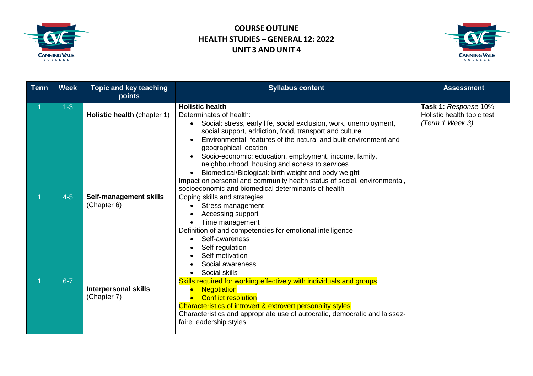



| <b>Term</b> | <b>Week</b> | <b>Topic and key teaching</b><br>points    | <b>Syllabus content</b>                                                                                                                                                                                                                                                                                                                                                                                                                                                                                                                                                            | <b>Assessment</b>                                                     |
|-------------|-------------|--------------------------------------------|------------------------------------------------------------------------------------------------------------------------------------------------------------------------------------------------------------------------------------------------------------------------------------------------------------------------------------------------------------------------------------------------------------------------------------------------------------------------------------------------------------------------------------------------------------------------------------|-----------------------------------------------------------------------|
|             | $1-3$       | Holistic health (chapter 1)                | <b>Holistic health</b><br>Determinates of health:<br>Social: stress, early life, social exclusion, work, unemployment,<br>social support, addiction, food, transport and culture<br>Environmental: features of the natural and built environment and<br>geographical location<br>Socio-economic: education, employment, income, family,<br>neighbourhood, housing and access to services<br>Biomedical/Biological: birth weight and body weight<br>Impact on personal and community health status of social, environmental,<br>socioeconomic and biomedical determinants of health | Task 1: Response 10%<br>Holistic health topic test<br>(Term 1 Week 3) |
| 1.          | $4-5$       | Self-management skills<br>(Chapter 6)      | Coping skills and strategies<br>Stress management<br>Accessing support<br>Time management<br>Definition of and competencies for emotional intelligence<br>Self-awareness<br>Self-regulation<br>Self-motivation<br>Social awareness<br>Social skills                                                                                                                                                                                                                                                                                                                                |                                                                       |
|             | $6 - 7$     | <b>Interpersonal skills</b><br>(Chapter 7) | Skills required for working effectively with individuals and groups<br><b>Negotiation</b><br><b>Conflict resolution</b><br>Characteristics of introvert & extrovert personality styles<br>Characteristics and appropriate use of autocratic, democratic and laissez-<br>faire leadership styles                                                                                                                                                                                                                                                                                    |                                                                       |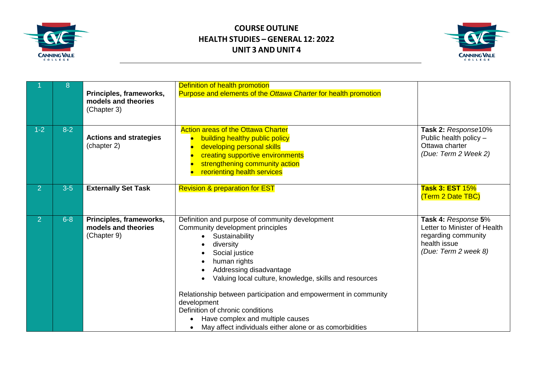



|                | 8       | Principles, frameworks,<br>models and theories<br>(Chapter 3) | Definition of health promotion<br>Purpose and elements of the Ottawa Charter for health promotion                                                                                                                                                                                                                                                                                                                                                                           |                                                                                                                    |
|----------------|---------|---------------------------------------------------------------|-----------------------------------------------------------------------------------------------------------------------------------------------------------------------------------------------------------------------------------------------------------------------------------------------------------------------------------------------------------------------------------------------------------------------------------------------------------------------------|--------------------------------------------------------------------------------------------------------------------|
| $1 - 2$        | $8 - 2$ | <b>Actions and strategies</b><br>(chapter 2)                  | <b>Action areas of the Ottawa Charter</b><br>building healthy public policy<br>developing personal skills<br>creating supportive environments<br>strengthening community action<br>reorienting health services                                                                                                                                                                                                                                                              | Task 2: Response10%<br>Public health policy -<br>Ottawa charter<br>(Due: Term 2 Week 2)                            |
| $\overline{2}$ | $3-5$   | <b>Externally Set Task</b>                                    | <b>Revision &amp; preparation for EST</b>                                                                                                                                                                                                                                                                                                                                                                                                                                   | <b>Task 3: EST 15%</b><br>(Term 2 Date TBC)                                                                        |
| $\overline{2}$ | $6 - 8$ | Principles, frameworks,<br>models and theories<br>(Chapter 9) | Definition and purpose of community development<br>Community development principles<br>Sustainability<br>diversity<br>Social justice<br>human rights<br>Addressing disadvantage<br>Valuing local culture, knowledge, skills and resources<br>Relationship between participation and empowerment in community<br>development<br>Definition of chronic conditions<br>Have complex and multiple causes<br>May affect individuals either alone or as comorbidities<br>$\bullet$ | Task 4: Response 5%<br>Letter to Minister of Health<br>regarding community<br>health issue<br>(Due: Term 2 week 8) |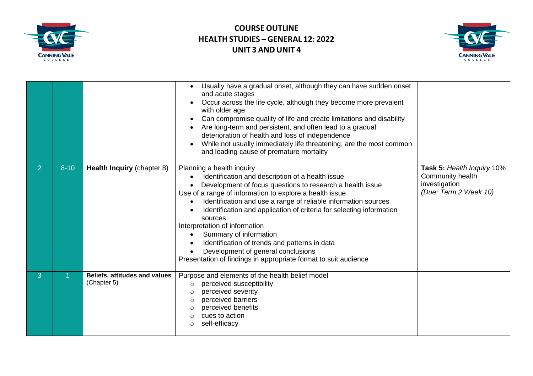



|                |          |                                              | Usually have a gradual onset, although they can have sudden onset<br>and acute stages<br>Occur across the life cycle, although they become more prevalent<br>with older age<br>Can compromise quality of life and create limitations and disability<br>$\bullet$<br>Are long-term and persistent, and often lead to a gradual<br>deterioration of health and loss of independence<br>While not usually immediately life threatening, are the most common<br>and leading cause of premature mortality                                                                                                                                |                                                                                          |
|----------------|----------|----------------------------------------------|-------------------------------------------------------------------------------------------------------------------------------------------------------------------------------------------------------------------------------------------------------------------------------------------------------------------------------------------------------------------------------------------------------------------------------------------------------------------------------------------------------------------------------------------------------------------------------------------------------------------------------------|------------------------------------------------------------------------------------------|
| $\overline{2}$ | $8 - 10$ | Health Inquiry (chapter 8)                   | Planning a health inquiry<br>Identification and description of a health issue<br>Development of focus questions to research a health issue<br>Use of a range of information to explore a health issue<br>Identification and use a range of reliable information sources<br>$\bullet$<br>Identification and application of criteria for selecting information<br>sources<br>Interpretation of information<br>Summary of information<br>$\bullet$<br>Identification of trends and patterns in data<br>$\bullet$<br>Development of general conclusions<br>$\bullet$<br>Presentation of findings in appropriate format to suit audience | Task 5: Health Inquiry 10%<br>Community health<br>investigation<br>(Due: Term 2 Week 10) |
| 3              |          | Beliefs, attitudes and values<br>(Chapter 5) | Purpose and elements of the health belief model<br>perceived susceptibility<br>$\circ$<br>perceived severity<br>$\circ$<br>perceived barriers<br>$\circ$<br>perceived benefits<br>$\circ$<br>cues to action<br>$\circ$<br>self-efficacy<br>$\circ$                                                                                                                                                                                                                                                                                                                                                                                  |                                                                                          |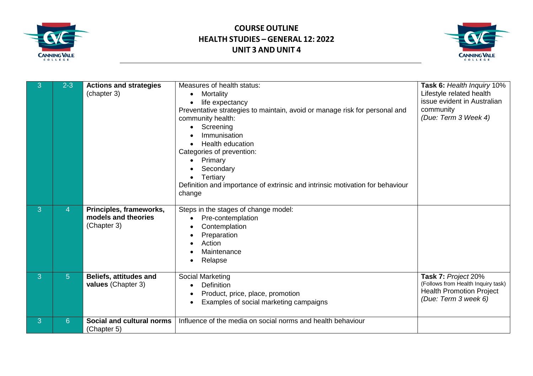



| 3 | $2 - 3$        | <b>Actions and strategies</b><br>(chapter 3)                  | Measures of health status:<br>Mortality<br>$\bullet$<br>life expectancy<br>Preventative strategies to maintain, avoid or manage risk for personal and<br>community health:<br>Screening<br>Immunisation<br><b>Health education</b><br>Categories of prevention:<br>Primary<br>$\bullet$<br>Secondary<br>Tertiary<br>Definition and importance of extrinsic and intrinsic motivation for behaviour<br>change | Task 6: Health Inquiry 10%<br>Lifestyle related health<br>issue evident in Australian<br>community<br>(Due: Term 3 Week 4) |
|---|----------------|---------------------------------------------------------------|-------------------------------------------------------------------------------------------------------------------------------------------------------------------------------------------------------------------------------------------------------------------------------------------------------------------------------------------------------------------------------------------------------------|----------------------------------------------------------------------------------------------------------------------------|
| 3 | 4              | Principles, frameworks,<br>models and theories<br>(Chapter 3) | Steps in the stages of change model:<br>Pre-contemplation<br>Contemplation<br>Preparation<br>Action<br>Maintenance<br>Relapse                                                                                                                                                                                                                                                                               |                                                                                                                            |
| 3 | 5 <sup>5</sup> | <b>Beliefs, attitudes and</b><br>values (Chapter 3)           | Social Marketing<br>Definition<br>$\bullet$<br>Product, price, place, promotion<br>Examples of social marketing campaigns                                                                                                                                                                                                                                                                                   | Task 7: Project 20%<br>(Follows from Health Inquiry task)<br><b>Health Promotion Project</b><br>(Due: Term 3 week 6)       |
| 3 | 6              | Social and cultural norms<br>(Chapter 5)                      | Influence of the media on social norms and health behaviour                                                                                                                                                                                                                                                                                                                                                 |                                                                                                                            |